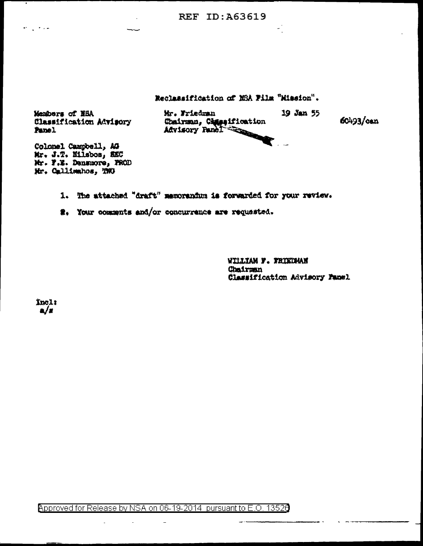**REF ID: A63619** 

Reclassification of MSA Film "Mission".

Members of HSA Classification Advisory Panel

 $\omega_{\rm max}$  , where  $\omega_{\rm max}$ 

Mr. Friedman Mr. Friedmann<br>Chairman, Cassaification<br>Advisory Fanci 19 Jan 55

المنادر

60493/can

Colonel Campbell, AG Mr. J.T. Hilsbos, SEC Mr. F.Z. Denmaore, PROD Mr. Callimahos, TMO

1. The attached "draft" memorandum is forwarded for your review.

2. Your comments and/or concurrence are requested.

WILLIAM F. FRIEDMAN Chairman Classification Advisory Panel

Inclt  $\mathbf{a}/\mathbf{a}$ 

Approved for Release by NSA on 06-19-2014 pursuant to E.O. 13526

 $\overline{a}$ 

 $\sim$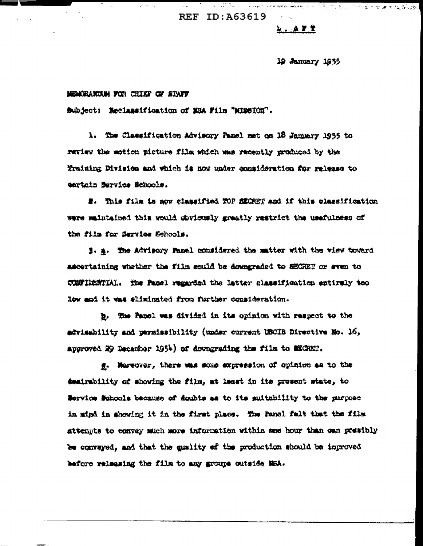**REF ID: A63619** 

## $A - A T T$

## 19 January 1955

## MEMORANIAM FOR CHIEF OF STAFF

Subject: Reclassification of NSA Film "MIGSION".

1. The Classification Advisory Panel met on 18 January 1955 to review the motion picture film which was recently produced by the Training Division and which is now under consideration for release to certain Bervice Schools.

#. This film is now classified TOP MECREY and if this classification were maintained this would obviously greatly restrict the usefulness of the film for Service Schools.

1. a. The Advisory Fanal considered the matter with the view toward ascertaining whether the film could be dompraded to SECRET or even to CONFIDENTIAL. The Panel regarded the latter classification entirely too low and it was eliminated from further consideration.

b. The Panel was divided in its opinion with respect to the advisability and parmissibility (under current USCIB Directive No. 16, approved 29 December 1954) of downgrading the film to SECRET.

g. Mareover, there was some expression of opinion as to the desirability of showing the film, at least in its present state, to Service Schools because of doubts as to its suitability to the purpose in mind in showing it in the first place. The Panel felt that the film attempts to egnvay much more information within ane hour than oan possibly be conveyed, and that the quality of the production should be improved before releasing the film to any groups outside MSA.